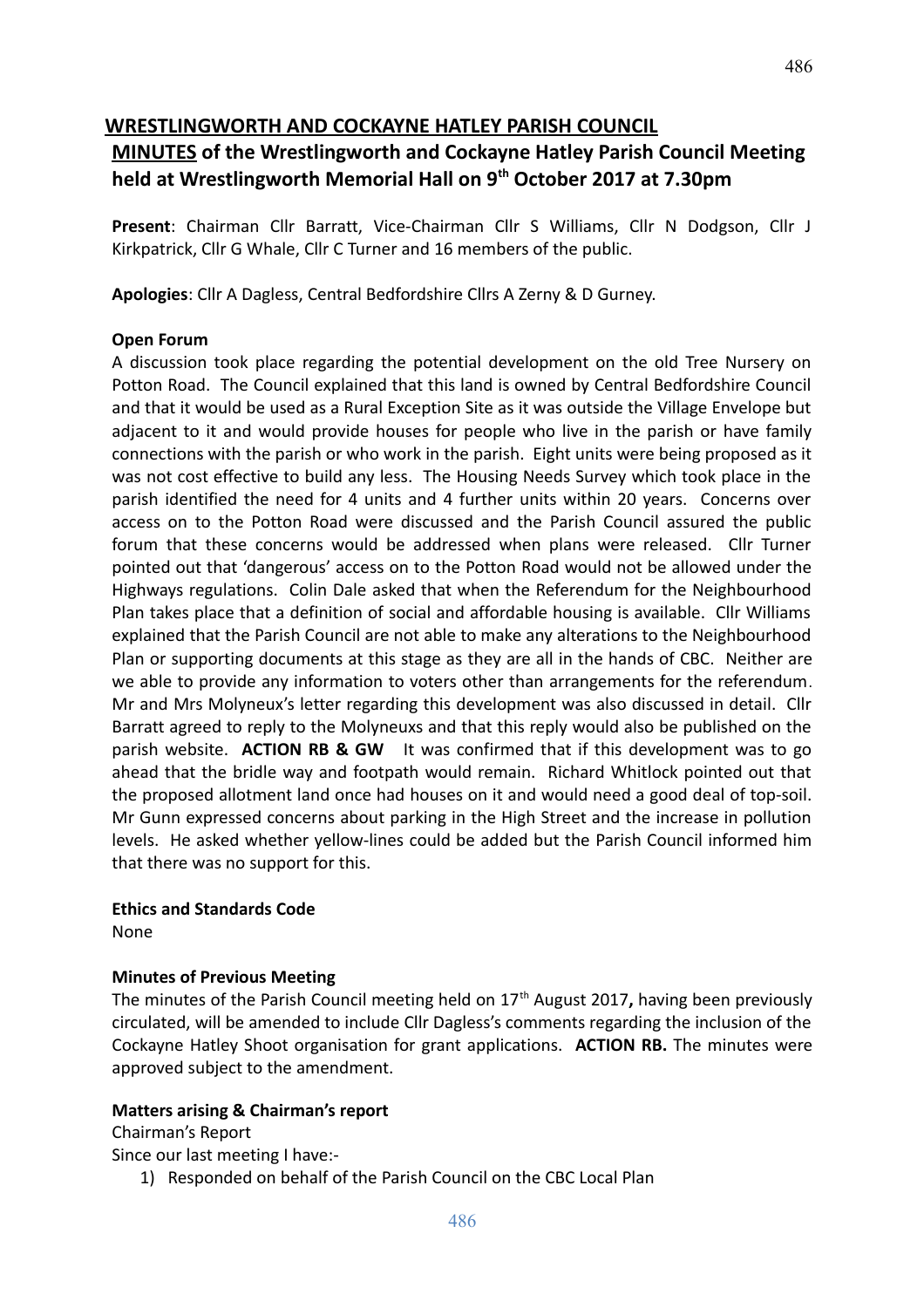# **WRESTLINGWORTH AND COCKAYNE HATLEY PARISH COUNCIL**

# **MINUTES of the Wrestlingworth and Cockayne Hatley Parish Council Meeting held at Wrestlingworth Memorial Hall on 9th October 2017 at 7.30pm**

**Present**: Chairman Cllr Barratt, Vice-Chairman Cllr S Williams, Cllr N Dodgson, Cllr J Kirkpatrick, Cllr G Whale, Cllr C Turner and 16 members of the public.

**Apologies**: Cllr A Dagless, Central Bedfordshire Cllrs A Zerny & D Gurney.

#### **Open Forum**

A discussion took place regarding the potential development on the old Tree Nursery on Potton Road. The Council explained that this land is owned by Central Bedfordshire Council and that it would be used as a Rural Exception Site as it was outside the Village Envelope but adjacent to it and would provide houses for people who live in the parish or have family connections with the parish or who work in the parish. Eight units were being proposed as it was not cost effective to build any less. The Housing Needs Survey which took place in the parish identified the need for 4 units and 4 further units within 20 years. Concerns over access on to the Potton Road were discussed and the Parish Council assured the public forum that these concerns would be addressed when plans were released. Cllr Turner pointed out that 'dangerous' access on to the Potton Road would not be allowed under the Highways regulations. Colin Dale asked that when the Referendum for the Neighbourhood Plan takes place that a definition of social and affordable housing is available. Cllr Williams explained that the Parish Council are not able to make any alterations to the Neighbourhood Plan or supporting documents at this stage as they are all in the hands of CBC. Neither are we able to provide any information to voters other than arrangements for the referendum. Mr and Mrs Molyneux's letter regarding this development was also discussed in detail. Cllr Barratt agreed to reply to the Molyneuxs and that this reply would also be published on the parish website. **ACTION RB & GW** It was confirmed that if this development was to go ahead that the bridle way and footpath would remain. Richard Whitlock pointed out that the proposed allotment land once had houses on it and would need a good deal of top-soil. Mr Gunn expressed concerns about parking in the High Street and the increase in pollution levels. He asked whether yellow-lines could be added but the Parish Council informed him that there was no support for this.

#### **Ethics and Standards Code**

None

## **Minutes of Previous Meeting**

The minutes of the Parish Council meeting held on 17th August 2017**,** having been previously circulated, will be amended to include Cllr Dagless's comments regarding the inclusion of the Cockayne Hatley Shoot organisation for grant applications. **ACTION RB.** The minutes were approved subject to the amendment.

## **Matters arising & Chairman's report**

Chairman's Report

Since our last meeting I have:-

1) Responded on behalf of the Parish Council on the CBC Local Plan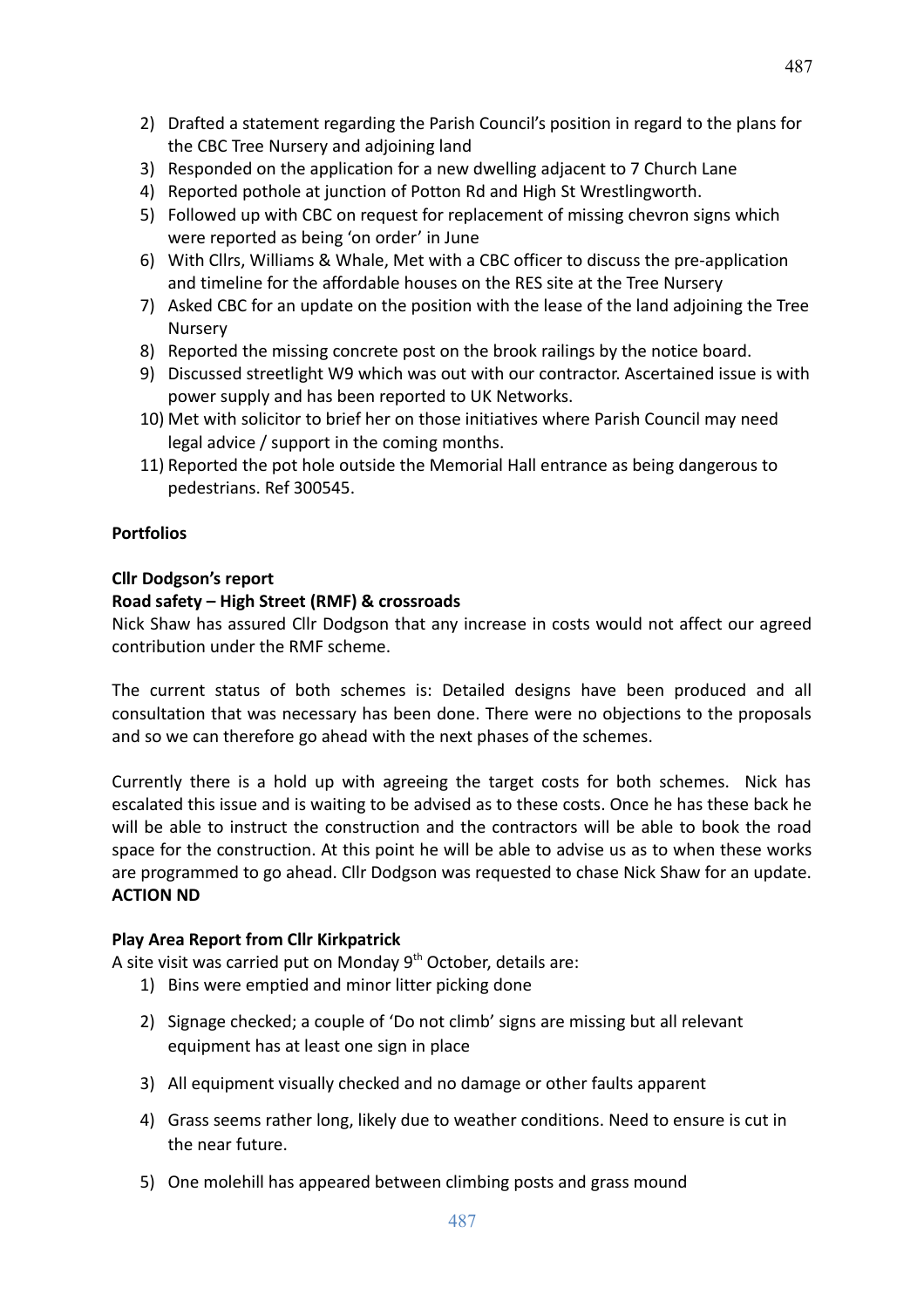487

- 2) Drafted a statement regarding the Parish Council's position in regard to the plans for the CBC Tree Nursery and adjoining land
- 3) Responded on the application for a new dwelling adjacent to 7 Church Lane
- 4) Reported pothole at junction of Potton Rd and High St Wrestlingworth.
- 5) Followed up with CBC on request for replacement of missing chevron signs which were reported as being 'on order' in June
- 6) With Cllrs, Williams & Whale, Met with a CBC officer to discuss the pre-application and timeline for the affordable houses on the RES site at the Tree Nursery
- 7) Asked CBC for an update on the position with the lease of the land adjoining the Tree Nursery
- 8) Reported the missing concrete post on the brook railings by the notice board.
- 9) Discussed streetlight W9 which was out with our contractor. Ascertained issue is with power supply and has been reported to UK Networks.
- 10) Met with solicitor to brief her on those initiatives where Parish Council may need legal advice / support in the coming months.
- 11) Reported the pot hole outside the Memorial Hall entrance as being dangerous to pedestrians. Ref 300545.

## **Portfolios**

## **Cllr Dodgson's report**

## **Road safety – High Street (RMF) & crossroads**

Nick Shaw has assured Cllr Dodgson that any increase in costs would not affect our agreed contribution under the RMF scheme.

The current status of both schemes is: Detailed designs have been produced and all consultation that was necessary has been done. There were no objections to the proposals and so we can therefore go ahead with the next phases of the schemes.

Currently there is a hold up with agreeing the target costs for both schemes. Nick has escalated this issue and is waiting to be advised as to these costs. Once he has these back he will be able to instruct the construction and the contractors will be able to book the road space for the construction. At this point he will be able to advise us as to when these works are programmed to go ahead. Cllr Dodgson was requested to chase Nick Shaw for an update. **ACTION ND**

## **Play Area Report from Cllr Kirkpatrick**

A site visit was carried put on Monday  $9<sup>th</sup>$  October, details are:

- 1) Bins were emptied and minor litter picking done
- 2) Signage checked; a couple of 'Do not climb' signs are missing but all relevant equipment has at least one sign in place
- 3) All equipment visually checked and no damage or other faults apparent
- 4) Grass seems rather long, likely due to weather conditions. Need to ensure is cut in the near future.
- 5) One molehill has appeared between climbing posts and grass mound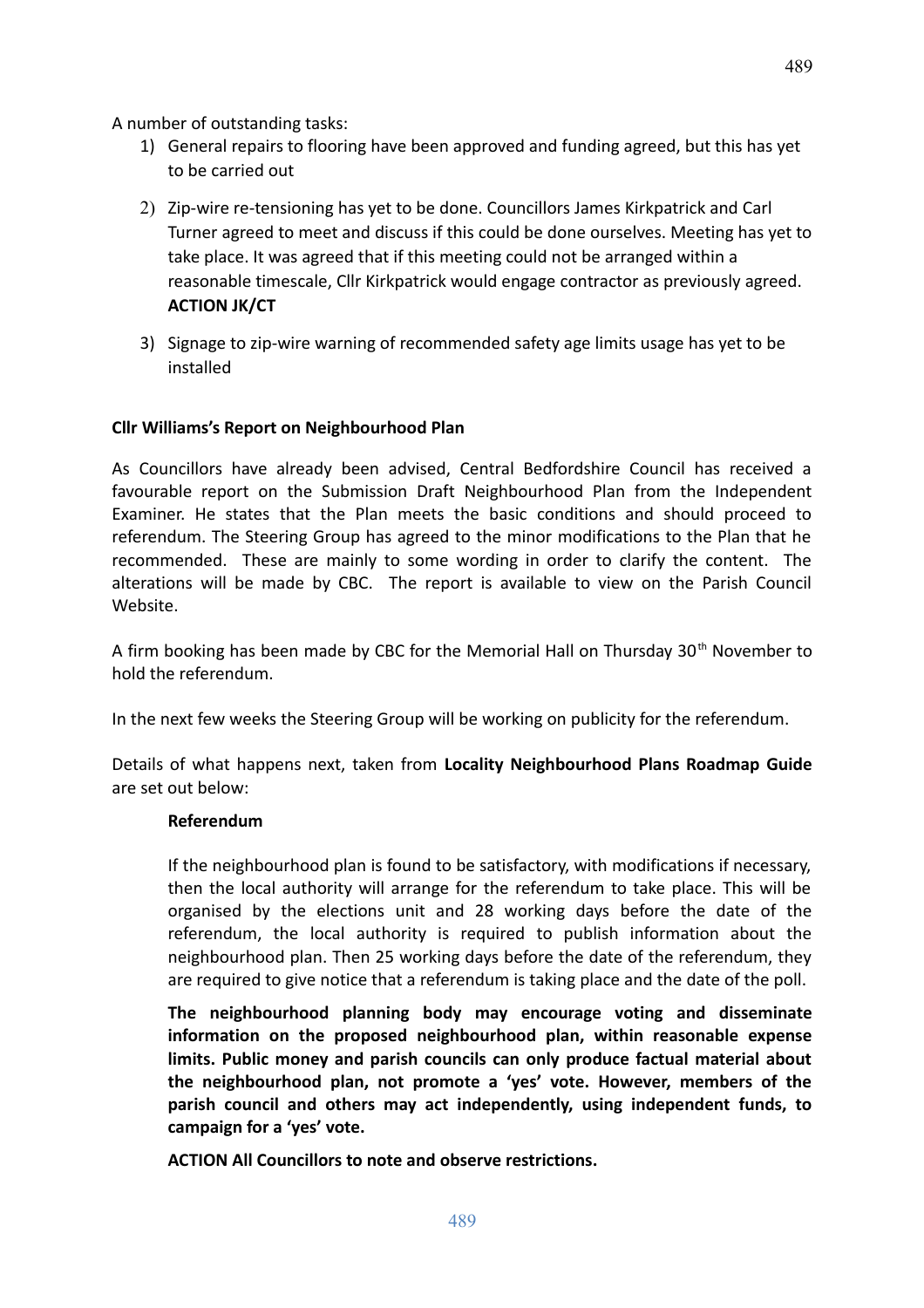A number of outstanding tasks:

- 1) General repairs to flooring have been approved and funding agreed, but this has yet to be carried out
- 2) Zip-wire re-tensioning has yet to be done. Councillors James Kirkpatrick and Carl Turner agreed to meet and discuss if this could be done ourselves. Meeting has yet to take place. It was agreed that if this meeting could not be arranged within a reasonable timescale, Cllr Kirkpatrick would engage contractor as previously agreed. **ACTION JK/CT**
- 3) Signage to zip-wire warning of recommended safety age limits usage has yet to be installed

## **Cllr Williams's Report on Neighbourhood Plan**

As Councillors have already been advised, Central Bedfordshire Council has received a favourable report on the Submission Draft Neighbourhood Plan from the Independent Examiner. He states that the Plan meets the basic conditions and should proceed to referendum. The Steering Group has agreed to the minor modifications to the Plan that he recommended. These are mainly to some wording in order to clarify the content. The alterations will be made by CBC. The report is available to view on the Parish Council Website.

A firm booking has been made by CBC for the Memorial Hall on Thursday 30<sup>th</sup> November to hold the referendum.

In the next few weeks the Steering Group will be working on publicity for the referendum.

Details of what happens next, taken from **Locality Neighbourhood Plans Roadmap Guide** are set out below:

#### **Referendum**

If the neighbourhood plan is found to be satisfactory, with modifications if necessary, then the local authority will arrange for the referendum to take place. This will be organised by the elections unit and 28 working days before the date of the referendum, the local authority is required to publish information about the neighbourhood plan. Then 25 working days before the date of the referendum, they are required to give notice that a referendum is taking place and the date of the poll.

**The neighbourhood planning body may encourage voting and disseminate information on the proposed neighbourhood plan, within reasonable expense limits. Public money and parish councils can only produce factual material about the neighbourhood plan, not promote a 'yes' vote. However, members of the parish council and others may act independently, using independent funds, to campaign for a 'yes' vote.** 

**ACTION All Councillors to note and observe restrictions.**

489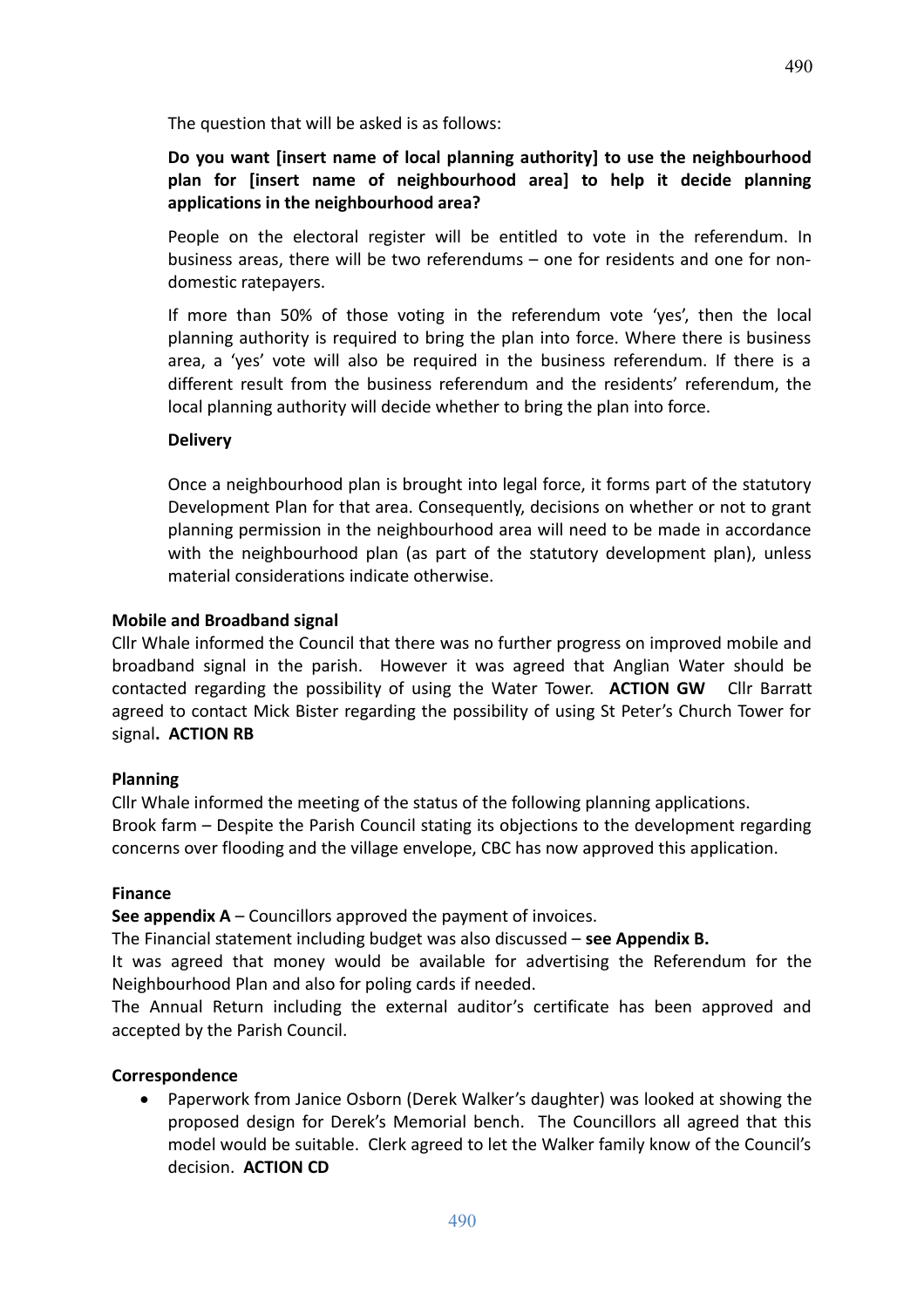The question that will be asked is as follows:

## **Do you want [insert name of local planning authority] to use the neighbourhood plan for [insert name of neighbourhood area] to help it decide planning applications in the neighbourhood area?**

People on the electoral register will be entitled to vote in the referendum. In business areas, there will be two referendums – one for residents and one for nondomestic ratepayers.

If more than 50% of those voting in the referendum vote 'yes', then the local planning authority is required to bring the plan into force. Where there is business area, a 'yes' vote will also be required in the business referendum. If there is a different result from the business referendum and the residents' referendum, the local planning authority will decide whether to bring the plan into force.

#### **Delivery**

Once a neighbourhood plan is brought into legal force, it forms part of the statutory Development Plan for that area. Consequently, decisions on whether or not to grant planning permission in the neighbourhood area will need to be made in accordance with the neighbourhood plan (as part of the statutory development plan), unless material considerations indicate otherwise.

#### **Mobile and Broadband signal**

Cllr Whale informed the Council that there was no further progress on improved mobile and broadband signal in the parish. However it was agreed that Anglian Water should be contacted regarding the possibility of using the Water Tower. **ACTION GW** Cllr Barratt agreed to contact Mick Bister regarding the possibility of using St Peter's Church Tower for signal**. ACTION RB**

#### **Planning**

Cllr Whale informed the meeting of the status of the following planning applications. Brook farm – Despite the Parish Council stating its objections to the development regarding concerns over flooding and the village envelope, CBC has now approved this application.

#### **Finance**

**See appendix A** – Councillors approved the payment of invoices.

The Financial statement including budget was also discussed – **see Appendix B.** 

It was agreed that money would be available for advertising the Referendum for the Neighbourhood Plan and also for poling cards if needed.

The Annual Return including the external auditor's certificate has been approved and accepted by the Parish Council.

#### **Correspondence**

 Paperwork from Janice Osborn (Derek Walker's daughter) was looked at showing the proposed design for Derek's Memorial bench. The Councillors all agreed that this model would be suitable. Clerk agreed to let the Walker family know of the Council's decision. **ACTION CD**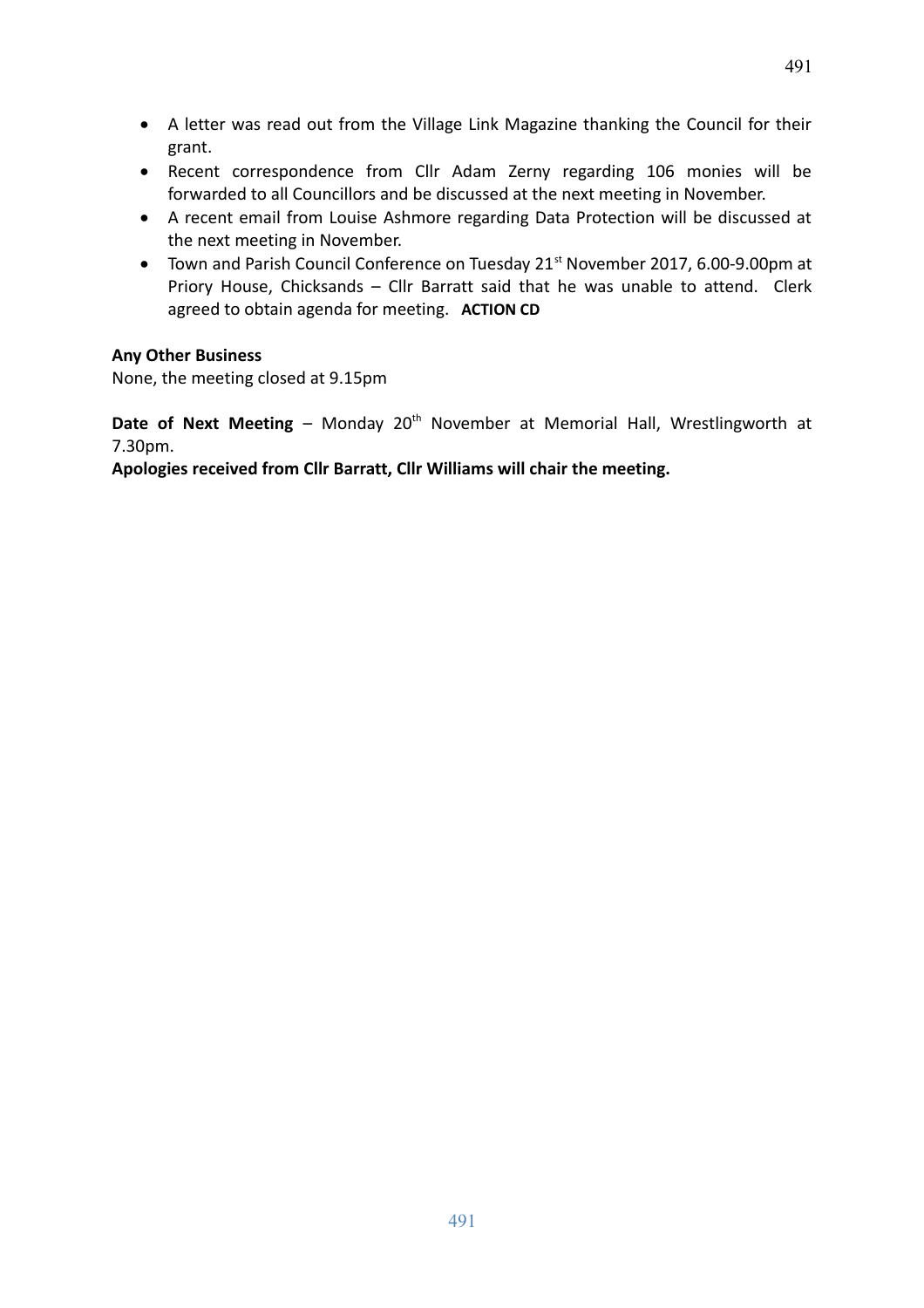- A letter was read out from the Village Link Magazine thanking the Council for their grant.
- Recent correspondence from Cllr Adam Zerny regarding 106 monies will be forwarded to all Councillors and be discussed at the next meeting in November.
- A recent email from Louise Ashmore regarding Data Protection will be discussed at the next meeting in November.
- Town and Parish Council Conference on Tuesday 21<sup>st</sup> November 2017, 6.00-9.00pm at Priory House, Chicksands – Cllr Barratt said that he was unable to attend. Clerk agreed to obtain agenda for meeting. **ACTION CD**

#### **Any Other Business**

None, the meeting closed at 9.15pm

**Date of Next Meeting** – Monday 20<sup>th</sup> November at Memorial Hall, Wrestlingworth at 7.30pm.

**Apologies received from Cllr Barratt, Cllr Williams will chair the meeting.**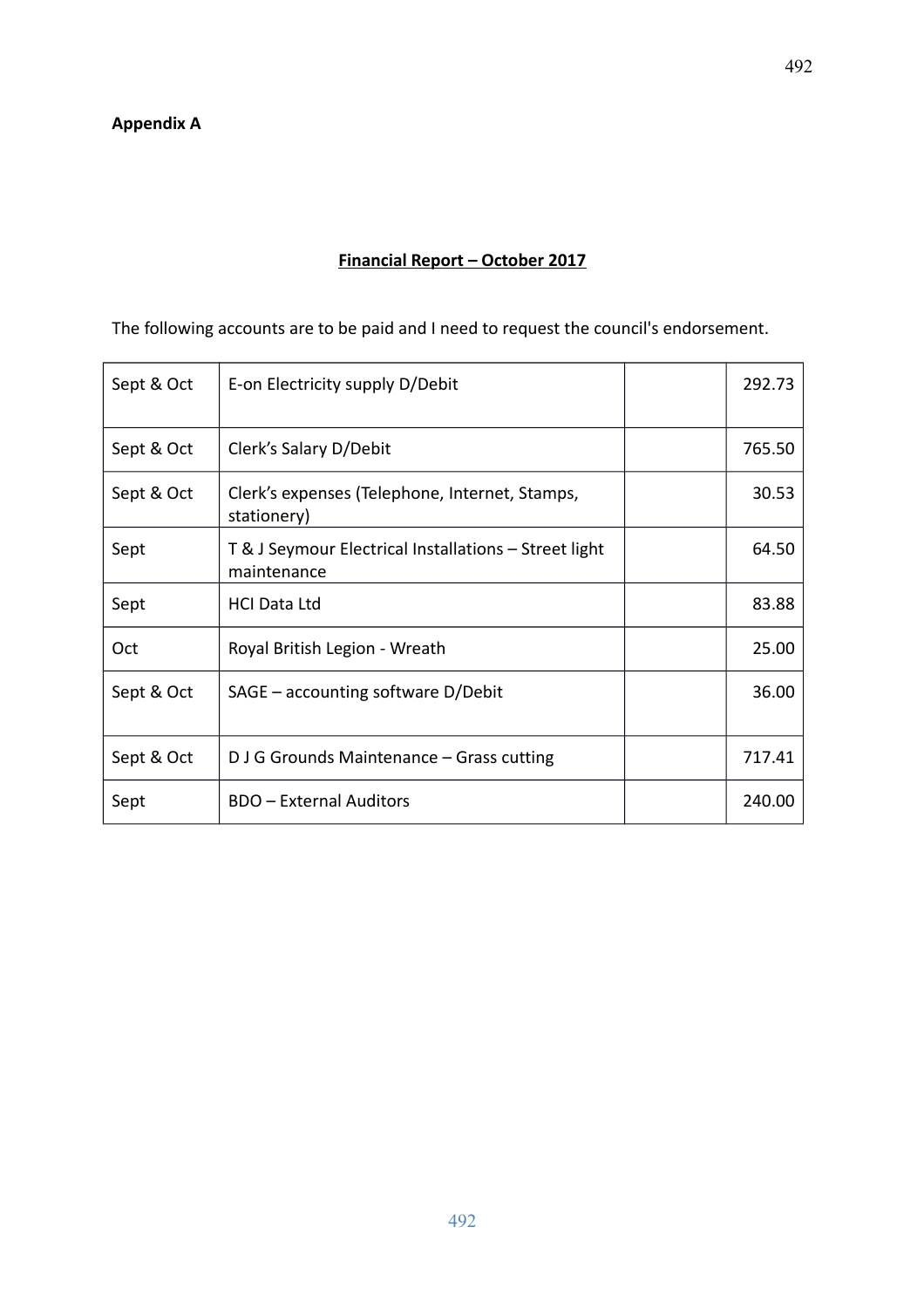# **Financial Report – October 2017**

The following accounts are to be paid and I need to request the council's endorsement.

| Sept & Oct | E-on Electricity supply D/Debit                                      | 292.73 |
|------------|----------------------------------------------------------------------|--------|
| Sept & Oct | Clerk's Salary D/Debit                                               | 765.50 |
| Sept & Oct | Clerk's expenses (Telephone, Internet, Stamps,<br>stationery)        | 30.53  |
| Sept       | T & J Seymour Electrical Installations - Street light<br>maintenance | 64.50  |
| Sept       | <b>HCI Data Ltd</b>                                                  | 83.88  |
| Oct        | Royal British Legion - Wreath                                        | 25.00  |
| Sept & Oct | $SAGE - accounting software D/Debit$                                 | 36.00  |
| Sept & Oct | D J G Grounds Maintenance - Grass cutting                            | 717.41 |
| Sept       | <b>BDO</b> - External Auditors                                       | 240.00 |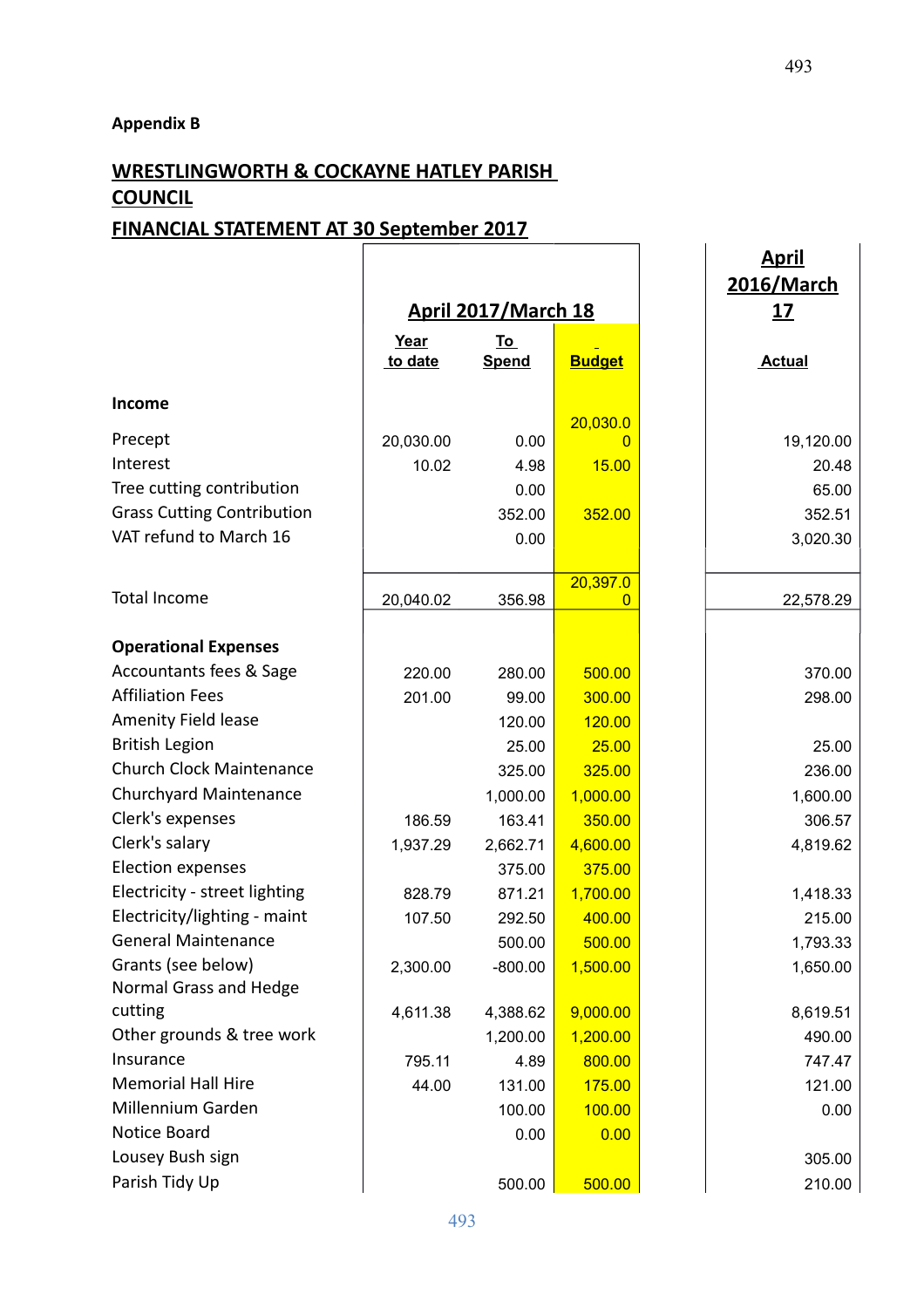**Appendix B**

# **WRESTLINGWORTH & COCKAYNE HATLEY PARISH COUNCIL**

# **FINANCIAL STATEMENT AT 30 September 2017**

|                                   |                 |                           |                      | <u>April</u><br>2016/March |
|-----------------------------------|-----------------|---------------------------|----------------------|----------------------------|
|                                   |                 | April 2017/March 18       | <u> 17</u>           |                            |
|                                   | Year<br>to date | <u>To</u><br><b>Spend</b> | <b>Budget</b>        | <b>Actual</b>              |
| Income                            |                 |                           |                      |                            |
| Precept                           | 20,030.00       | 0.00                      | 20,030.0<br>$\Omega$ | 19,120.00                  |
| Interest                          | 10.02           | 4.98                      | 15.00                | 20.48                      |
| Tree cutting contribution         |                 | 0.00                      |                      | 65.00                      |
| <b>Grass Cutting Contribution</b> |                 | 352.00                    | 352.00               | 352.51                     |
| VAT refund to March 16            |                 | 0.00                      |                      | 3,020.30                   |
|                                   |                 |                           |                      |                            |
|                                   |                 |                           | 20,397.0             |                            |
| <b>Total Income</b>               | 20,040.02       | 356.98                    | 0                    | 22,578.29                  |
| <b>Operational Expenses</b>       |                 |                           |                      |                            |
| Accountants fees & Sage           | 220.00          | 280.00                    | 500.00               | 370.00                     |
| <b>Affiliation Fees</b>           | 201.00          | 99.00                     | 300.00               | 298.00                     |
| Amenity Field lease               |                 | 120.00                    | 120.00               |                            |
| <b>British Legion</b>             |                 | 25.00                     | 25.00                | 25.00                      |
| <b>Church Clock Maintenance</b>   |                 | 325.00                    | 325.00               | 236.00                     |
| <b>Churchyard Maintenance</b>     |                 | 1,000.00                  | 1,000.00             | 1,600.00                   |
| Clerk's expenses                  | 186.59          | 163.41                    | 350.00               | 306.57                     |
| Clerk's salary                    | 1,937.29        | 2,662.71                  | 4,600.00             | 4,819.62                   |
| <b>Election expenses</b>          |                 | 375.00                    | 375.00               |                            |
| Electricity - street lighting     | 828.79          | 871.21                    | 1,700.00             | 1,418.33                   |
| Electricity/lighting - maint      | 107.50          | 292.50                    | 400.00               | 215.00                     |
| <b>General Maintenance</b>        |                 |                           | 500.00               | 1,793.33                   |
| Grants (see below)                |                 | 500.00                    |                      |                            |
| Normal Grass and Hedge            | 2,300.00        | $-800.00$                 | 1,500.00             | 1,650.00                   |
| cutting                           | 4,611.38        | 4,388.62                  | 9,000.00             | 8,619.51                   |
| Other grounds & tree work         |                 | 1,200.00                  | 1,200.00             | 490.00                     |
| Insurance                         | 795.11          | 4.89                      | 800.00               | 747.47                     |
| <b>Memorial Hall Hire</b>         | 44.00           | 131.00                    | 175.00               | 121.00                     |
| Millennium Garden                 |                 | 100.00                    | 100.00               | 0.00                       |
| Notice Board                      |                 | 0.00                      | 0.00                 |                            |
| Lousey Bush sign                  |                 |                           |                      | 305.00                     |
| Parish Tidy Up                    |                 | 500.00                    | 500.00               | 210.00                     |
|                                   |                 |                           |                      |                            |